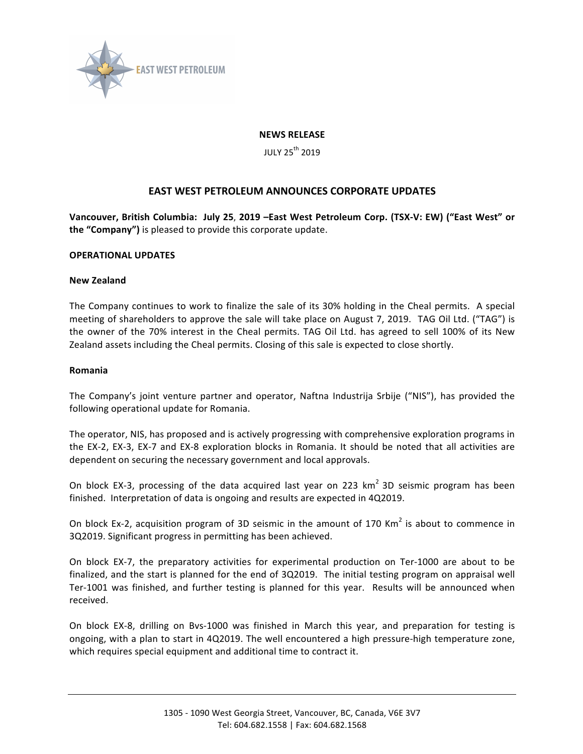

## **NEWS RELEASE**

JULY 25<sup>th</sup> 2019

# **EAST WEST PETROLEUM ANNOUNCES CORPORATE UPDATES**

Vancouver, British Columbia: July 25, 2019 -East West Petroleum Corp. (TSX-V: EW) ("East West" or **the "Company")** is pleased to provide this corporate update.

### **OPERATIONAL UPDATES**

### **New Zealand**

The Company continues to work to finalize the sale of its 30% holding in the Cheal permits. A special meeting of shareholders to approve the sale will take place on August 7, 2019. TAG Oil Ltd. ("TAG") is the owner of the 70% interest in the Cheal permits. TAG Oil Ltd. has agreed to sell 100% of its New Zealand assets including the Cheal permits. Closing of this sale is expected to close shortly.

### **Romania**

The Company's joint venture partner and operator, Naftna Industrija Srbije ("NIS"), has provided the following operational update for Romania.

The operator, NIS, has proposed and is actively progressing with comprehensive exploration programs in the EX-2, EX-3, EX-7 and EX-8 exploration blocks in Romania. It should be noted that all activities are dependent on securing the necessary government and local approvals.

On block EX-3, processing of the data acquired last year on 223  $km^2$  3D seismic program has been finished. Interpretation of data is ongoing and results are expected in 4Q2019.

On block Ex-2, acquisition program of 3D seismic in the amount of 170 Km<sup>2</sup> is about to commence in 3Q2019. Significant progress in permitting has been achieved.

On block EX-7, the preparatory activities for experimental production on Ter-1000 are about to be finalized, and the start is planned for the end of 3Q2019. The initial testing program on appraisal well Ter-1001 was finished, and further testing is planned for this year. Results will be announced when received.

On block EX-8, drilling on Bvs-1000 was finished in March this year, and preparation for testing is ongoing, with a plan to start in 4Q2019. The well encountered a high pressure-high temperature zone, which requires special equipment and additional time to contract it.